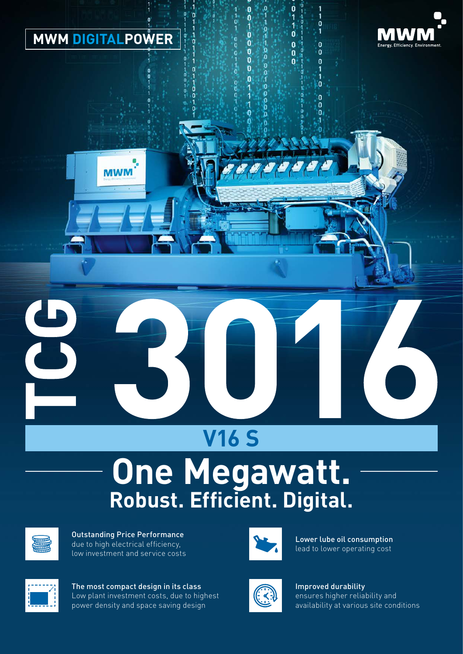

**MWM** 



ö  $\overline{1}$ 

 $\mathbf{\dot{1}}$ O.

 $\mathbf{0}$ 

 $\mathbf{a}$ 

O

0 o<br>n

 $\overline{0}$ 

 $\mathbf{0}$ 

 $\mathbf 0$ 

 $\overline{0}$  $\mathbf{r}$ 

ò

ń

 $\ddot{\mathbf{0}}$ 

 $\mathbf{0}$ 

 $\mathbf{0}$ 

'n n n

# **V16 S**

## **Robust. Efficient. Digital. One Megawatt.**



Outstanding Price Performance due to high electrical efficiency, low investment and service costs



The most compact design in its class Low plant investment costs, due to highest power density and space saving design



Lower lube oil consumption lead to lower operating cost



Improved durability ensures higher reliability and availability at various site conditions